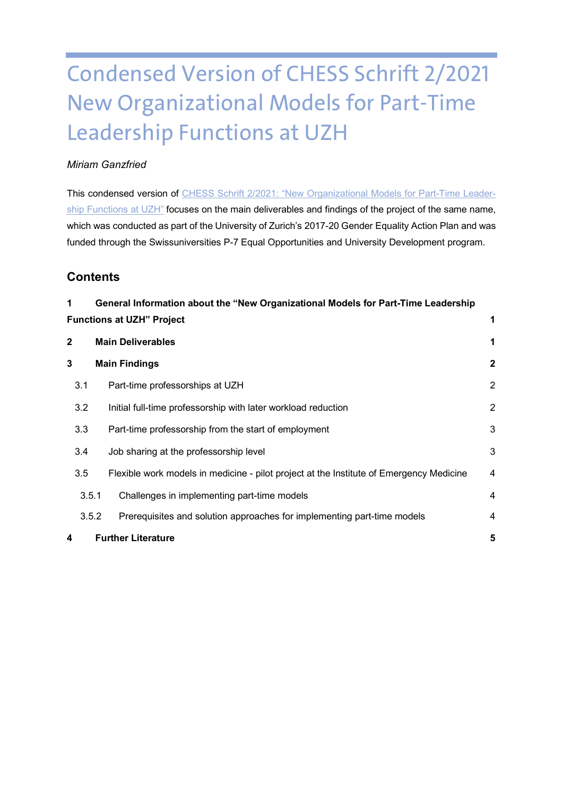# Condensed Version of CHESS Schrift 2/2021 New Organizational Models for Part-Time Leadership Functions at UZH

# *Miriam Ganzfried*

This condensed version of [CHESS Schrift 2/2021: "New Organizational Models for Part-Time Leader](https://www.chess.uzh.ch/dam/jcr:f10565d7-60db-4cee-87b6-af6a36d5e8c9/chess_schrift_02_online.pdf)[ship Functions at UZH"](https://www.chess.uzh.ch/dam/jcr:f10565d7-60db-4cee-87b6-af6a36d5e8c9/chess_schrift_02_online.pdfC:/Users/mganzf/Documents/Benutzerdefinierte%20Office-Vorlagen) focuses on the main deliverables and findings of the project of the same name, which was conducted as part of the University of Zurich's 2017-20 Gender Equality Action Plan and was funded through the Swissuniversities P-7 Equal Opportunities and University Development program.

# **Contents**

| 1                                     | General Information about the "New Organizational Models for Part-Time Leadership       |                |  |
|---------------------------------------|-----------------------------------------------------------------------------------------|----------------|--|
| <b>Functions at UZH" Project</b><br>1 |                                                                                         |                |  |
| $\mathbf{2}$                          | <b>Main Deliverables</b>                                                                |                |  |
| 3                                     | <b>Main Findings</b>                                                                    |                |  |
| 3.1                                   | Part-time professorships at UZH                                                         | $\overline{2}$ |  |
| 3.2                                   | Initial full-time professorship with later workload reduction                           | $\overline{2}$ |  |
| 3.3                                   | Part-time professorship from the start of employment                                    | 3              |  |
| 3.4                                   | Job sharing at the professorship level                                                  | 3              |  |
| 3.5                                   | Flexible work models in medicine - pilot project at the Institute of Emergency Medicine | $\overline{4}$ |  |
| 3.5.1                                 | Challenges in implementing part-time models                                             | $\overline{4}$ |  |
|                                       | 3.5.2<br>Prerequisites and solution approaches for implementing part-time models        | $\overline{4}$ |  |
| 4                                     | <b>Further Literature</b>                                                               | 5              |  |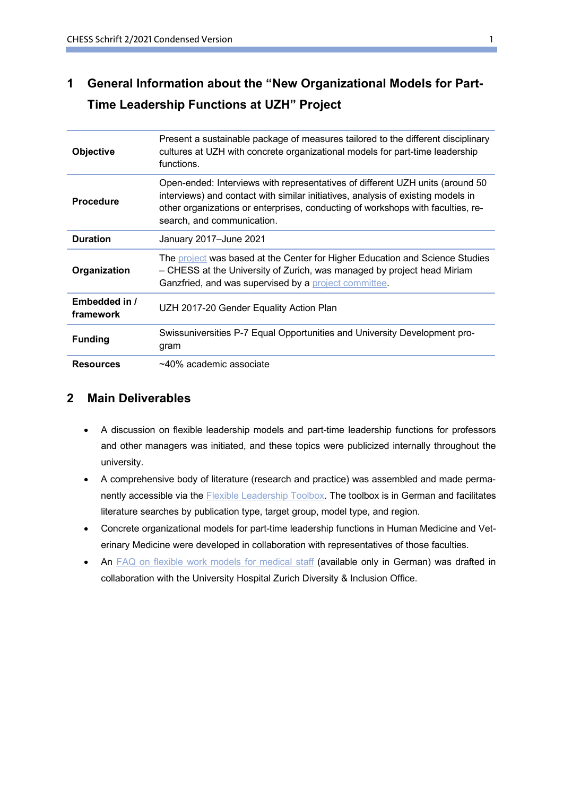# <span id="page-1-0"></span>**1 General Information about the "New Organizational Models for Part-Time Leadership Functions at UZH" Project**

| <b>Objective</b>           | Present a sustainable package of measures tailored to the different disciplinary<br>cultures at UZH with concrete organizational models for part-time leadership<br>functions.                                                                                                     |
|----------------------------|------------------------------------------------------------------------------------------------------------------------------------------------------------------------------------------------------------------------------------------------------------------------------------|
| <b>Procedure</b>           | Open-ended: Interviews with representatives of different UZH units (around 50<br>interviews) and contact with similar initiatives, analysis of existing models in<br>other organizations or enterprises, conducting of workshops with faculties, re-<br>search, and communication. |
| <b>Duration</b>            | January 2017-June 2021                                                                                                                                                                                                                                                             |
| Organization               | The project was based at the Center for Higher Education and Science Studies<br>- CHESS at the University of Zurich, was managed by project head Miriam<br>Ganzfried, and was supervised by a project committee.                                                                   |
| Embedded in /<br>framework | UZH 2017-20 Gender Equality Action Plan                                                                                                                                                                                                                                            |
| <b>Funding</b>             | Swissuniversities P-7 Equal Opportunities and University Development pro-<br>gram                                                                                                                                                                                                  |
| <b>Resources</b>           | $~10\%$ academic associate                                                                                                                                                                                                                                                         |

# <span id="page-1-1"></span>**2 Main Deliverables**

- A discussion on flexible leadership models and part-time leadership functions for professors and other managers was initiated, and these topics were publicized internally throughout the university.
- A comprehensive body of literature (research and practice) was assembled and made perma-nently accessible via the [Flexible Leadership Toolbox.](https://www.3f.uzh.ch/de/Toolbox.html) The toolbox is in German and facilitates literature searches by publication type, target group, model type, and region.
- Concrete organizational models for part-time leadership functions in Human Medicine and Veterinary Medicine were developed in collaboration with representatives of those faculties.
- An [FAQ on flexible work models for medical staff](https://www.3f.uzh.ch/dam/jcr:2dfe5749-8f1a-4f1a-9288-0a7b7f491069/FAQ%20flexible%20Arbeitsmodelle.pdf) (available only in German) was drafted in collaboration with the University Hospital Zurich Diversity & Inclusion Office.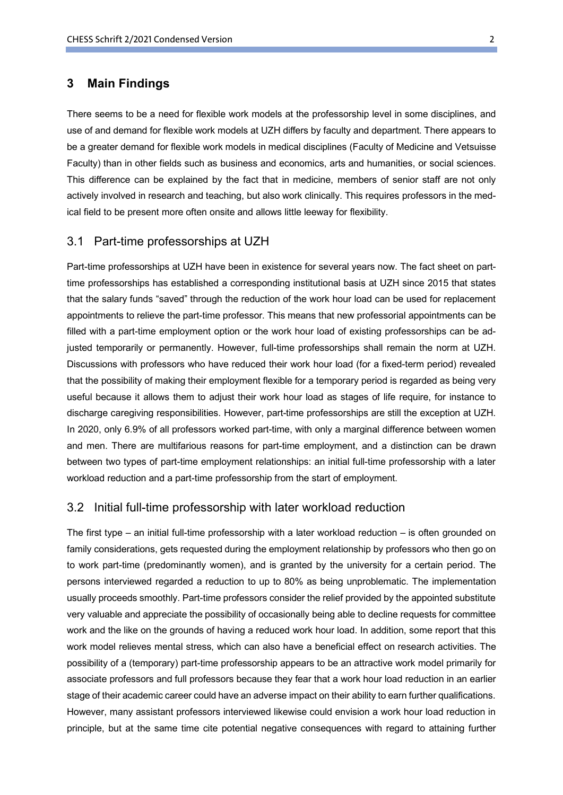## <span id="page-2-0"></span>**3 Main Findings**

There seems to be a need for flexible work models at the professorship level in some disciplines, and use of and demand for flexible work models at UZH differs by faculty and department. There appears to be a greater demand for flexible work models in medical disciplines (Faculty of Medicine and Vetsuisse Faculty) than in other fields such as business and economics, arts and humanities, or social sciences. This difference can be explained by the fact that in medicine, members of senior staff are not only actively involved in research and teaching, but also work clinically. This requires professors in the medical field to be present more often onsite and allows little leeway for flexibility.

#### <span id="page-2-1"></span>3.1 Part-time professorships at UZH

Part-time professorships at UZH have been in existence for several years now. The fact sheet on parttime professorships has established a corresponding institutional basis at UZH since 2015 that states that the salary funds "saved" through the reduction of the work hour load can be used for replacement appointments to relieve the part-time professor. This means that new professorial appointments can be filled with a part-time employment option or the work hour load of existing professorships can be adjusted temporarily or permanently. However, full-time professorships shall remain the norm at UZH. Discussions with professors who have reduced their work hour load (for a fixed-term period) revealed that the possibility of making their employment flexible for a temporary period is regarded as being very useful because it allows them to adjust their work hour load as stages of life require, for instance to discharge caregiving responsibilities. However, part-time professorships are still the exception at UZH. In 2020, only 6.9% of all professors worked part-time, with only a marginal difference between women and men. There are multifarious reasons for part-time employment, and a distinction can be drawn between two types of part-time employment relationships: an initial full-time professorship with a later workload reduction and a part-time professorship from the start of employment.

#### <span id="page-2-2"></span>3.2 Initial full-time professorship with later workload reduction

The first type – an initial full-time professorship with a later workload reduction – is often grounded on family considerations, gets requested during the employment relationship by professors who then go on to work part-time (predominantly women), and is granted by the university for a certain period. The persons interviewed regarded a reduction to up to 80% as being unproblematic. The implementation usually proceeds smoothly. Part-time professors consider the relief provided by the appointed substitute very valuable and appreciate the possibility of occasionally being able to decline requests for committee work and the like on the grounds of having a reduced work hour load. In addition, some report that this work model relieves mental stress, which can also have a beneficial effect on research activities. The possibility of a (temporary) part-time professorship appears to be an attractive work model primarily for associate professors and full professors because they fear that a work hour load reduction in an earlier stage of their academic career could have an adverse impact on their ability to earn further qualifications. However, many assistant professors interviewed likewise could envision a work hour load reduction in principle, but at the same time cite potential negative consequences with regard to attaining further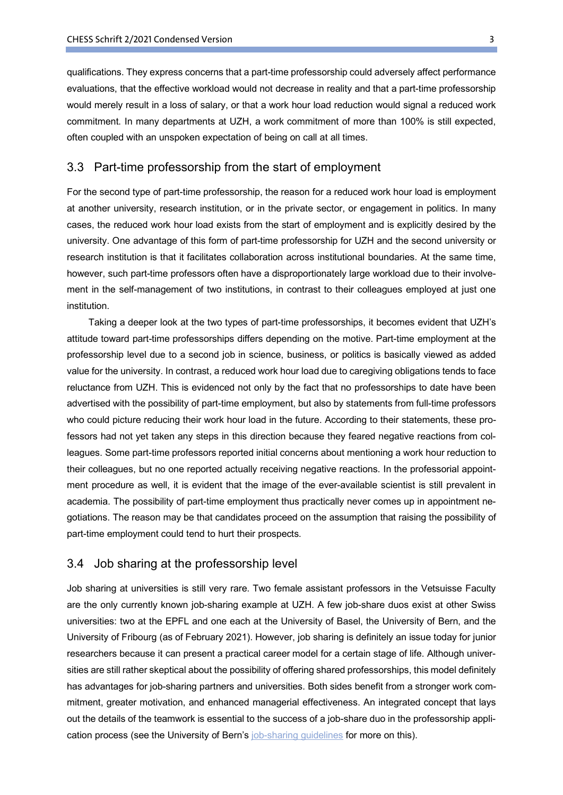qualifications. They express concerns that a part-time professorship could adversely affect performance evaluations, that the effective workload would not decrease in reality and that a part-time professorship would merely result in a loss of salary, or that a work hour load reduction would signal a reduced work commitment. In many departments at UZH, a work commitment of more than 100% is still expected, often coupled with an unspoken expectation of being on call at all times.

#### <span id="page-3-0"></span>3.3 Part-time professorship from the start of employment

For the second type of part-time professorship, the reason for a reduced work hour load is employment at another university, research institution, or in the private sector, or engagement in politics. In many cases, the reduced work hour load exists from the start of employment and is explicitly desired by the university. One advantage of this form of part-time professorship for UZH and the second university or research institution is that it facilitates collaboration across institutional boundaries. At the same time, however, such part-time professors often have a disproportionately large workload due to their involvement in the self-management of two institutions, in contrast to their colleagues employed at just one institution.

Taking a deeper look at the two types of part-time professorships, it becomes evident that UZH's attitude toward part-time professorships differs depending on the motive. Part-time employment at the professorship level due to a second job in science, business, or politics is basically viewed as added value for the university. In contrast, a reduced work hour load due to caregiving obligations tends to face reluctance from UZH. This is evidenced not only by the fact that no professorships to date have been advertised with the possibility of part-time employment, but also by statements from full-time professors who could picture reducing their work hour load in the future. According to their statements, these professors had not yet taken any steps in this direction because they feared negative reactions from colleagues. Some part-time professors reported initial concerns about mentioning a work hour reduction to their colleagues, but no one reported actually receiving negative reactions. In the professorial appointment procedure as well, it is evident that the image of the ever-available scientist is still prevalent in academia. The possibility of part-time employment thus practically never comes up in appointment negotiations. The reason may be that candidates proceed on the assumption that raising the possibility of part-time employment could tend to hurt their prospects.

## <span id="page-3-1"></span>3.4 Job sharing at the professorship level

Job sharing at universities is still very rare. Two female assistant professors in the Vetsuisse Faculty are the only currently known job-sharing example at UZH. A few job-share duos exist at other Swiss universities: two at the EPFL and one each at the University of Basel, the University of Bern, and the University of Fribourg (as of February 2021). However, job sharing is definitely an issue today for junior researchers because it can present a practical career model for a certain stage of life. Although universities are still rather skeptical about the possibility of offering shared professorships, this model definitely has advantages for job-sharing partners and universities. Both sides benefit from a stronger work commitment, greater motivation, and enhanced managerial effectiveness. An integrated concept that lays out the details of the teamwork is essential to the success of a job-share duo in the professorship application process (see the University of Bern's [job-sharing guidelines](https://www.vereinbarkeit.unibe.ch/flex_working_time_models/job_sharing/index_eng.html) for more on this).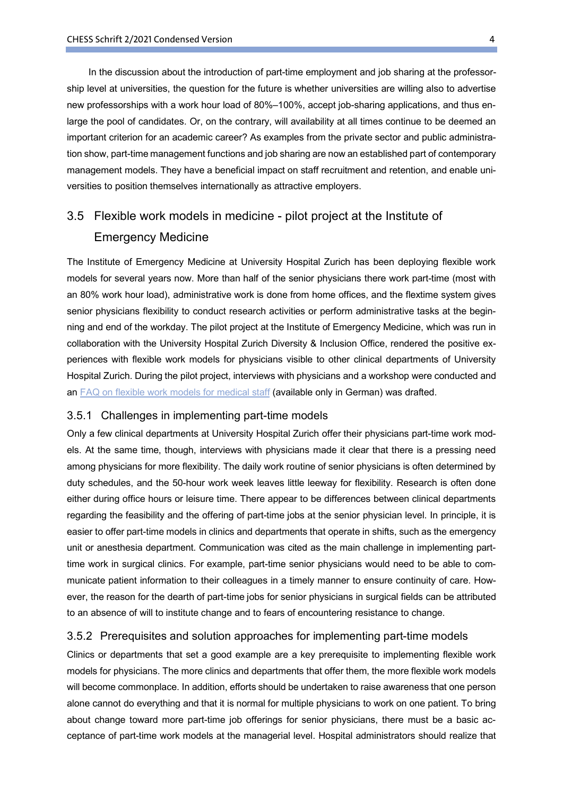In the discussion about the introduction of part-time employment and job sharing at the professorship level at universities, the question for the future is whether universities are willing also to advertise new professorships with a work hour load of 80%–100%, accept job-sharing applications, and thus enlarge the pool of candidates. Or, on the contrary, will availability at all times continue to be deemed an important criterion for an academic career? As examples from the private sector and public administration show, part-time management functions and job sharing are now an established part of contemporary management models. They have a beneficial impact on staff recruitment and retention, and enable universities to position themselves internationally as attractive employers.

# <span id="page-4-0"></span>3.5 Flexible work models in medicine - pilot project at the Institute of Emergency Medicine

The Institute of Emergency Medicine at University Hospital Zurich has been deploying flexible work models for several years now. More than half of the senior physicians there work part-time (most with an 80% work hour load), administrative work is done from home offices, and the flextime system gives senior physicians flexibility to conduct research activities or perform administrative tasks at the beginning and end of the workday. The pilot project at the Institute of Emergency Medicine, which was run in collaboration with the University Hospital Zurich Diversity & Inclusion Office, rendered the positive experiences with flexible work models for physicians visible to other clinical departments of University Hospital Zurich. During the pilot project, interviews with physicians and a workshop were conducted and an [FAQ on flexible work models for medical staff](https://www.3f.uzh.ch/dam/jcr:2dfe5749-8f1a-4f1a-9288-0a7b7f491069/FAQ%20flexible%20Arbeitsmodelle.pdf) (available only in German) was drafted.

#### <span id="page-4-1"></span>3.5.1 Challenges in implementing part-time models

Only a few clinical departments at University Hospital Zurich offer their physicians part-time work models. At the same time, though, interviews with physicians made it clear that there is a pressing need among physicians for more flexibility. The daily work routine of senior physicians is often determined by duty schedules, and the 50-hour work week leaves little leeway for flexibility. Research is often done either during office hours or leisure time. There appear to be differences between clinical departments regarding the feasibility and the offering of part-time jobs at the senior physician level. In principle, it is easier to offer part-time models in clinics and departments that operate in shifts, such as the emergency unit or anesthesia department. Communication was cited as the main challenge in implementing parttime work in surgical clinics. For example, part-time senior physicians would need to be able to communicate patient information to their colleagues in a timely manner to ensure continuity of care. However, the reason for the dearth of part-time jobs for senior physicians in surgical fields can be attributed to an absence of will to institute change and to fears of encountering resistance to change.

#### <span id="page-4-2"></span>3.5.2 Prerequisites and solution approaches for implementing part-time models

Clinics or departments that set a good example are a key prerequisite to implementing flexible work models for physicians. The more clinics and departments that offer them, the more flexible work models will become commonplace. In addition, efforts should be undertaken to raise awareness that one person alone cannot do everything and that it is normal for multiple physicians to work on one patient. To bring about change toward more part-time job offerings for senior physicians, there must be a basic acceptance of part-time work models at the managerial level. Hospital administrators should realize that